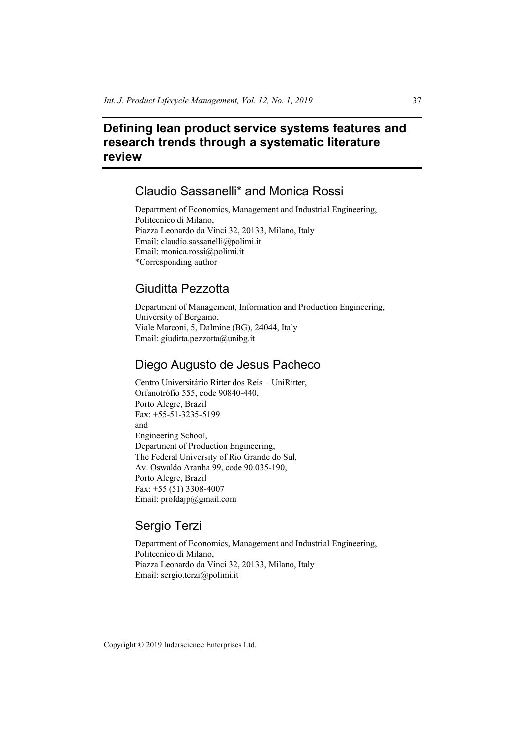# **Defining lean product service systems features and research trends through a systematic literature review**

# Claudio Sassanelli\* and Monica Rossi

Department of Economics, Management and Industrial Engineering, Politecnico di Milano, Piazza Leonardo da Vinci 32, 20133, Milano, Italy Email: claudio.sassanelli@polimi.it Email: monica.rossi@polimi.it \*Corresponding author

# Giuditta Pezzotta

Department of Management, Information and Production Engineering, University of Bergamo, Viale Marconi, 5, Dalmine (BG), 24044, Italy Email: giuditta.pezzotta@unibg.it

# Diego Augusto de Jesus Pacheco

Centro Universitário Ritter dos Reis – UniRitter, Orfanotrófio 555, code 90840-440, Porto Alegre, Brazil Fax: +55-51-3235-5199 and Engineering School, Department of Production Engineering, The Federal University of Rio Grande do Sul, Av. Oswaldo Aranha 99, code 90.035-190, Porto Alegre, Brazil Fax: +55 (51) 3308-4007 Email: profdajp@gmail.com

# Sergio Terzi

Department of Economics, Management and Industrial Engineering, Politecnico di Milano, Piazza Leonardo da Vinci 32, 20133, Milano, Italy Email: sergio.terzi@polimi.it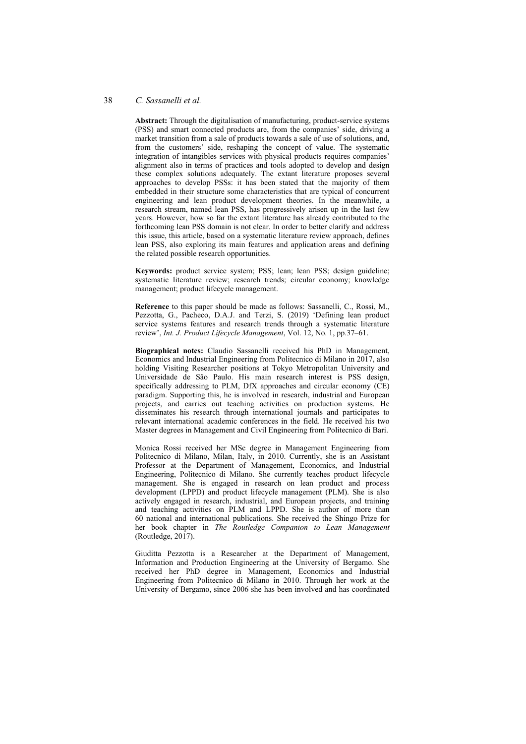### 38 *C. Sassanelli et al.*

**Abstract:** Through the digitalisation of manufacturing, product-service systems (PSS) and smart connected products are, from the companies' side, driving a market transition from a sale of products towards a sale of use of solutions, and, from the customers' side, reshaping the concept of value. The systematic integration of intangibles services with physical products requires companies' alignment also in terms of practices and tools adopted to develop and design these complex solutions adequately. The extant literature proposes several approaches to develop PSSs: it has been stated that the majority of them embedded in their structure some characteristics that are typical of concurrent engineering and lean product development theories. In the meanwhile, a research stream, named lean PSS, has progressively arisen up in the last few years. However, how so far the extant literature has already contributed to the forthcoming lean PSS domain is not clear. In order to better clarify and address this issue, this article, based on a systematic literature review approach, defines lean PSS, also exploring its main features and application areas and defining the related possible research opportunities.

**Keywords:** product service system; PSS; lean; lean PSS; design guideline; systematic literature review; research trends; circular economy; knowledge management; product lifecycle management.

**Reference** to this paper should be made as follows: Sassanelli, C., Rossi, M., Pezzotta, G., Pacheco, D.A.J. and Terzi, S. (2019) 'Defining lean product service systems features and research trends through a systematic literature review', *Int. J. Product Lifecycle Management*, Vol. 12, No. 1, pp.37–61.

**Biographical notes:** Claudio Sassanelli received his PhD in Management, Economics and Industrial Engineering from Politecnico di Milano in 2017, also holding Visiting Researcher positions at Tokyo Metropolitan University and Universidade de São Paulo. His main research interest is PSS design, specifically addressing to PLM, DfX approaches and circular economy (CE) paradigm. Supporting this, he is involved in research, industrial and European projects, and carries out teaching activities on production systems. He disseminates his research through international journals and participates to relevant international academic conferences in the field. He received his two Master degrees in Management and Civil Engineering from Politecnico di Bari.

Monica Rossi received her MSc degree in Management Engineering from Politecnico di Milano, Milan, Italy, in 2010. Currently, she is an Assistant Professor at the Department of Management, Economics, and Industrial Engineering, Politecnico di Milano. She currently teaches product lifecycle management. She is engaged in research on lean product and process development (LPPD) and product lifecycle management (PLM). She is also actively engaged in research, industrial, and European projects, and training and teaching activities on PLM and LPPD. She is author of more than 60 national and international publications. She received the Shingo Prize for her book chapter in *The Routledge Companion to Lean Management* (Routledge,  $2017$ ).

Giuditta Pezzotta is a Researcher at the Department of Management, Information and Production Engineering at the University of Bergamo. She received her PhD degree in Management, Economics and Industrial Engineering from Politecnico di Milano in 2010. Through her work at the University of Bergamo, since 2006 she has been involved and has coordinated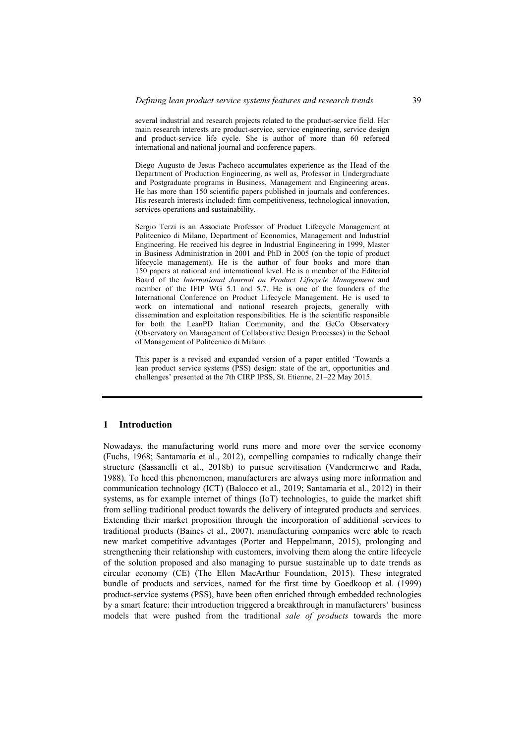several industrial and research projects related to the product-service field. Her main research interests are product-service, service engineering, service design and product-service life cycle. She is author of more than 60 refereed international and national journal and conference papers.

Diego Augusto de Jesus Pacheco accumulates experience as the Head of the Department of Production Engineering, as well as, Professor in Undergraduate and Postgraduate programs in Business, Management and Engineering areas. He has more than 150 scientific papers published in journals and conferences. His research interests included: firm competitiveness, technological innovation, services operations and sustainability.

Sergio Terzi is an Associate Professor of Product Lifecycle Management at Politecnico di Milano, Department of Economics, Management and Industrial Engineering. He received his degree in Industrial Engineering in 1999, Master in Business Administration in 2001 and PhD in 2005 (on the topic of product lifecycle management). He is the author of four books and more than 150 papers at national and international level. He is a member of the Editorial Board of the *International Journal on Product Lifecycle Management* and member of the IFIP WG 5.1 and 5.7. He is one of the founders of the International Conference on Product Lifecycle Management. He is used to work on international and national research projects, generally with dissemination and exploitation responsibilities. He is the scientific responsible for both the LeanPD Italian Community, and the GeCo Observatory (Observatory on Management of Collaborative Design Processes) in the School of Management of Politecnico di Milano.

This paper is a revised and expanded version of a paper entitled 'Towards a lean product service systems (PSS) design: state of the art, opportunities and challenges' presented at the 7th CIRP IPSS, St. Etienne, 21–22 May 2015.

## **1 Introduction**

Nowadays, the manufacturing world runs more and more over the service economy (Fuchs, 1968; Santamaría et al., 2012), compelling companies to radically change their structure (Sassanelli et al., 2018b) to pursue servitisation (Vandermerwe and Rada, 1988). To heed this phenomenon, manufacturers are always using more information and communication technology (ICT) (Balocco et al., 2019; Santamaría et al., 2012) in their systems, as for example internet of things (IoT) technologies, to guide the market shift from selling traditional product towards the delivery of integrated products and services. Extending their market proposition through the incorporation of additional services to traditional products (Baines et al., 2007), manufacturing companies were able to reach new market competitive advantages (Porter and Heppelmann, 2015), prolonging and strengthening their relationship with customers, involving them along the entire lifecycle of the solution proposed and also managing to pursue sustainable up to date trends as circular economy (CE) (The Ellen MacArthur Foundation, 2015). These integrated bundle of products and services, named for the first time by Goedkoop et al. (1999) product-service systems (PSS), have been often enriched through embedded technologies by a smart feature: their introduction triggered a breakthrough in manufacturers' business models that were pushed from the traditional *sale of products* towards the more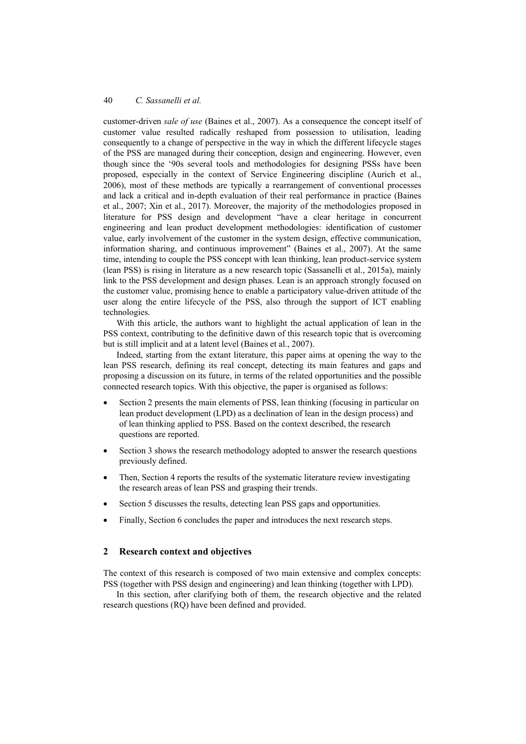customer-driven *sale of use* (Baines et al., 2007). As a consequence the concept itself of customer value resulted radically reshaped from possession to utilisation, leading consequently to a change of perspective in the way in which the different lifecycle stages of the PSS are managed during their conception, design and engineering. However, even though since the '90s several tools and methodologies for designing PSSs have been proposed, especially in the context of Service Engineering discipline (Aurich et al., 2006), most of these methods are typically a rearrangement of conventional processes and lack a critical and in-depth evaluation of their real performance in practice (Baines et al., 2007; Xin et al., 2017). Moreover, the majority of the methodologies proposed in literature for PSS design and development "have a clear heritage in concurrent engineering and lean product development methodologies: identification of customer value, early involvement of the customer in the system design, effective communication, information sharing, and continuous improvement" (Baines et al., 2007). At the same time, intending to couple the PSS concept with lean thinking, lean product-service system (lean PSS) is rising in literature as a new research topic (Sassanelli et al., 2015a), mainly link to the PSS development and design phases. Lean is an approach strongly focused on the customer value, promising hence to enable a participatory value-driven attitude of the user along the entire lifecycle of the PSS, also through the support of ICT enabling technologies.

With this article, the authors want to highlight the actual application of lean in the PSS context, contributing to the definitive dawn of this research topic that is overcoming but is still implicit and at a latent level (Baines et al., 2007).

Indeed, starting from the extant literature, this paper aims at opening the way to the lean PSS research, defining its real concept, detecting its main features and gaps and proposing a discussion on its future, in terms of the related opportunities and the possible connected research topics. With this objective, the paper is organised as follows:

- Section 2 presents the main elements of PSS, lean thinking (focusing in particular on lean product development (LPD) as a declination of lean in the design process) and of lean thinking applied to PSS. Based on the context described, the research questions are reported.
- Section 3 shows the research methodology adopted to answer the research questions previously defined.
- Then, Section 4 reports the results of the systematic literature review investigating the research areas of lean PSS and grasping their trends.
- Section 5 discusses the results, detecting lean PSS gaps and opportunities.
- Finally, Section 6 concludes the paper and introduces the next research steps.

## **2 Research context and objectives**

The context of this research is composed of two main extensive and complex concepts: PSS (together with PSS design and engineering) and lean thinking (together with LPD).

In this section, after clarifying both of them, the research objective and the related research questions (RQ) have been defined and provided.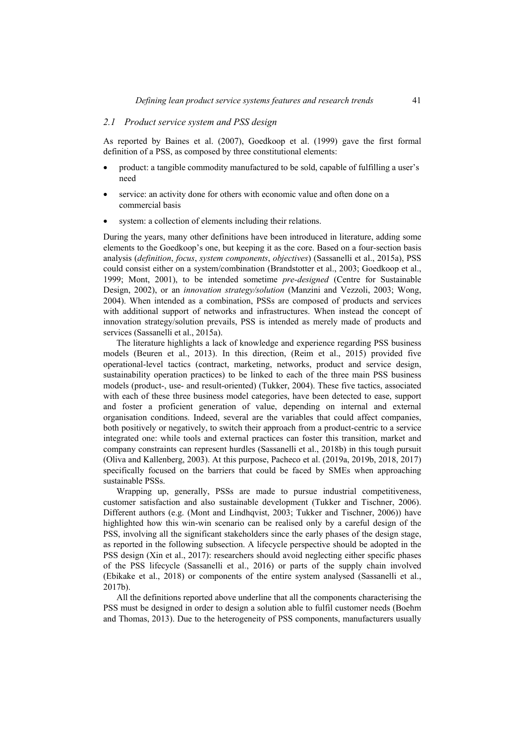## *2.1 Product service system and PSS design*

As reported by Baines et al. (2007), Goedkoop et al. (1999) gave the first formal definition of a PSS, as composed by three constitutional elements:

- product: a tangible commodity manufactured to be sold, capable of fulfilling a user's need
- service: an activity done for others with economic value and often done on a commercial basis
- system: a collection of elements including their relations.

During the years, many other definitions have been introduced in literature, adding some elements to the Goedkoop's one, but keeping it as the core. Based on a four-section basis analysis (*definition*, *focus*, *system components*, *objectives*) (Sassanelli et al., 2015a), PSS could consist either on a system/combination (Brandstotter et al., 2003; Goedkoop et al., 1999; Mont, 2001), to be intended sometime *pre-designed* (Centre for Sustainable Design, 2002), or an *innovation strategy/solution* (Manzini and Vezzoli, 2003; Wong, 2004). When intended as a combination, PSSs are composed of products and services with additional support of networks and infrastructures. When instead the concept of innovation strategy/solution prevails, PSS is intended as merely made of products and services (Sassanelli et al., 2015a).

The literature highlights a lack of knowledge and experience regarding PSS business models (Beuren et al., 2013). In this direction, (Reim et al., 2015) provided five operational-level tactics (contract, marketing, networks, product and service design, sustainability operation practices) to be linked to each of the three main PSS business models (product-, use- and result-oriented) (Tukker, 2004). These five tactics, associated with each of these three business model categories, have been detected to ease, support and foster a proficient generation of value, depending on internal and external organisation conditions. Indeed, several are the variables that could affect companies, both positively or negatively, to switch their approach from a product-centric to a service integrated one: while tools and external practices can foster this transition, market and company constraints can represent hurdles (Sassanelli et al., 2018b) in this tough pursuit (Oliva and Kallenberg, 2003). At this purpose, Pacheco et al. (2019a, 2019b, 2018, 2017) specifically focused on the barriers that could be faced by SMEs when approaching sustainable PSSs.

Wrapping up, generally, PSSs are made to pursue industrial competitiveness, customer satisfaction and also sustainable development (Tukker and Tischner, 2006). Different authors (e.g. (Mont and Lindhqvist, 2003; Tukker and Tischner, 2006)) have highlighted how this win-win scenario can be realised only by a careful design of the PSS, involving all the significant stakeholders since the early phases of the design stage, as reported in the following subsection. A lifecycle perspective should be adopted in the PSS design (Xin et al., 2017): researchers should avoid neglecting either specific phases of the PSS lifecycle (Sassanelli et al., 2016) or parts of the supply chain involved (Ebikake et al., 2018) or components of the entire system analysed (Sassanelli et al., 2017b).

All the definitions reported above underline that all the components characterising the PSS must be designed in order to design a solution able to fulfil customer needs (Boehm and Thomas, 2013). Due to the heterogeneity of PSS components, manufacturers usually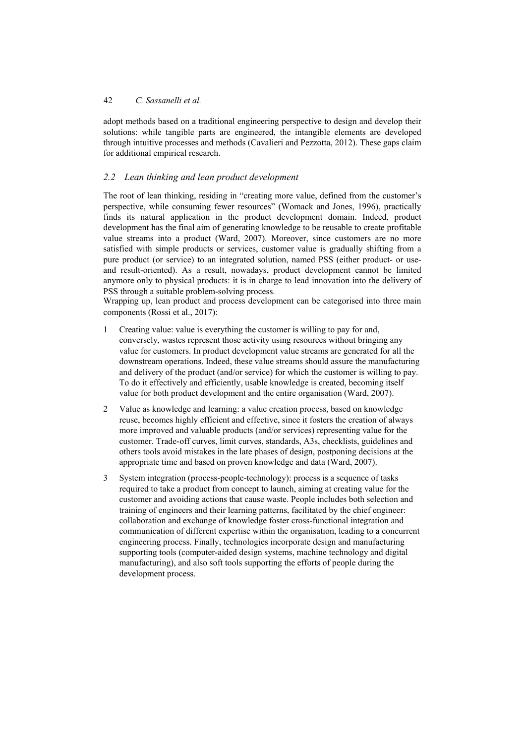adopt methods based on a traditional engineering perspective to design and develop their solutions: while tangible parts are engineered, the intangible elements are developed through intuitive processes and methods (Cavalieri and Pezzotta, 2012). These gaps claim for additional empirical research.

# *2.2 Lean thinking and lean product development*

The root of lean thinking, residing in "creating more value, defined from the customer's perspective, while consuming fewer resources" (Womack and Jones, 1996), practically finds its natural application in the product development domain. Indeed, product development has the final aim of generating knowledge to be reusable to create profitable value streams into a product (Ward, 2007). Moreover, since customers are no more satisfied with simple products or services, customer value is gradually shifting from a pure product (or service) to an integrated solution, named PSS (either product- or useand result-oriented). As a result, nowadays, product development cannot be limited anymore only to physical products: it is in charge to lead innovation into the delivery of PSS through a suitable problem-solving process.

Wrapping up, lean product and process development can be categorised into three main components (Rossi et al., 2017):

- 1 Creating value: value is everything the customer is willing to pay for and, conversely, wastes represent those activity using resources without bringing any value for customers. In product development value streams are generated for all the downstream operations. Indeed, these value streams should assure the manufacturing and delivery of the product (and/or service) for which the customer is willing to pay. To do it effectively and efficiently, usable knowledge is created, becoming itself value for both product development and the entire organisation (Ward, 2007).
- 2 Value as knowledge and learning: a value creation process, based on knowledge reuse, becomes highly efficient and effective, since it fosters the creation of always more improved and valuable products (and/or services) representing value for the customer. Trade-off curves, limit curves, standards, A3s, checklists, guidelines and others tools avoid mistakes in the late phases of design, postponing decisions at the appropriate time and based on proven knowledge and data (Ward, 2007).
- 3 System integration (process-people-technology): process is a sequence of tasks required to take a product from concept to launch, aiming at creating value for the customer and avoiding actions that cause waste. People includes both selection and training of engineers and their learning patterns, facilitated by the chief engineer: collaboration and exchange of knowledge foster cross-functional integration and communication of different expertise within the organisation, leading to a concurrent engineering process. Finally, technologies incorporate design and manufacturing supporting tools (computer-aided design systems, machine technology and digital manufacturing), and also soft tools supporting the efforts of people during the development process.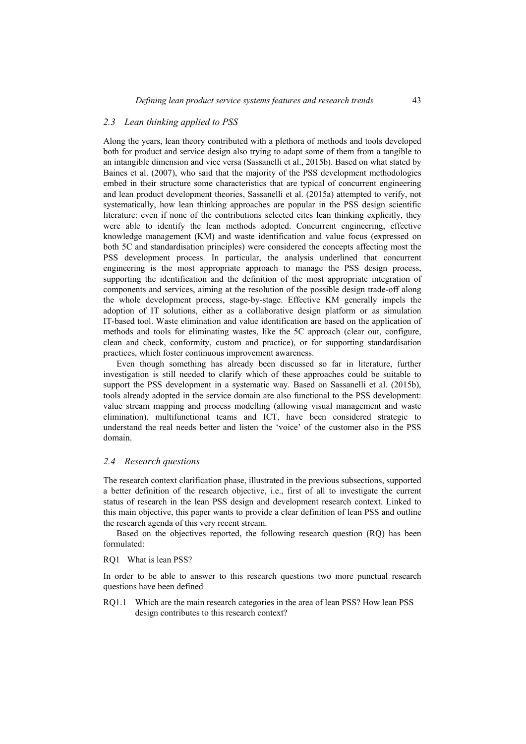## *2.3 Lean thinking applied to PSS*

Along the years, lean theory contributed with a plethora of methods and tools developed both for product and service design also trying to adapt some of them from a tangible to an intangible dimension and vice versa (Sassanelli et al., 2015b). Based on what stated by Baines et al. (2007), who said that the majority of the PSS development methodologies embed in their structure some characteristics that are typical of concurrent engineering and lean product development theories, Sassanelli et al. (2015a) attempted to verify, not systematically, how lean thinking approaches are popular in the PSS design scientific literature: even if none of the contributions selected cites lean thinking explicitly, they were able to identify the lean methods adopted. Concurrent engineering, effective knowledge management (KM) and waste identification and value focus (expressed on both 5C and standardisation principles) were considered the concepts affecting most the PSS development process. In particular, the analysis underlined that concurrent engineering is the most appropriate approach to manage the PSS design process, supporting the identification and the definition of the most appropriate integration of components and services, aiming at the resolution of the possible design trade-off along the whole development process, stage-by-stage. Effective KM generally impels the adoption of IT solutions, either as a collaborative design platform or as simulation IT-based tool. Waste elimination and value identification are based on the application of methods and tools for eliminating wastes, like the 5C approach (clear out, configure, clean and check, conformity, custom and practice), or for supporting standardisation practices, which foster continuous improvement awareness.

Even though something has already been discussed so far in literature, further investigation is still needed to clarify which of these approaches could be suitable to support the PSS development in a systematic way. Based on Sassanelli et al. (2015b), tools already adopted in the service domain are also functional to the PSS development: value stream mapping and process modelling (allowing visual management and waste elimination), multifunctional teams and ICT, have been considered strategic to understand the real needs better and listen the 'voice' of the customer also in the PSS domain.

#### *2.4 Research questions*

The research context clarification phase, illustrated in the previous subsections, supported a better definition of the research objective, i.e., first of all to investigate the current status of research in the lean PSS design and development research context. Linked to this main objective, this paper wants to provide a clear definition of lean PSS and outline the research agenda of this very recent stream.

Based on the objectives reported, the following research question (RQ) has been formulated:

RQ1 What is lean PSS?

In order to be able to answer to this research questions two more punctual research questions have been defined

RQ1.1 Which are the main research categories in the area of lean PSS? How lean PSS design contributes to this research context?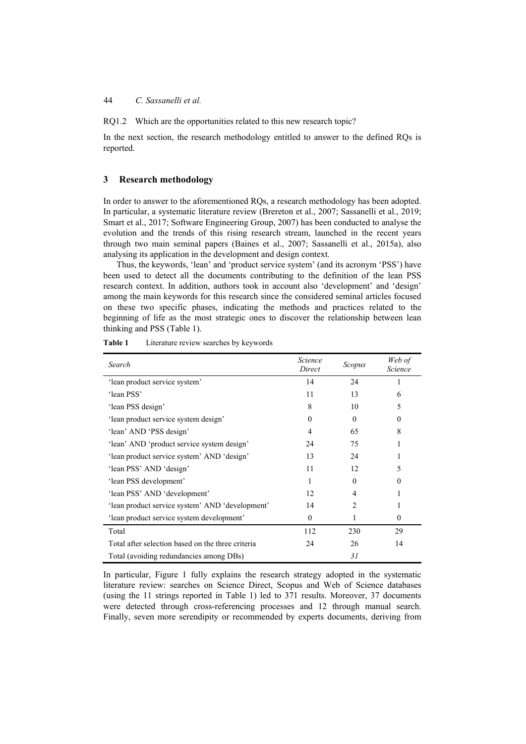RQ1.2 Which are the opportunities related to this new research topic?

In the next section, the research methodology entitled to answer to the defined RQs is reported.

## **3 Research methodology**

In order to answer to the aforementioned RQs, a research methodology has been adopted. In particular, a systematic literature review (Brereton et al., 2007; Sassanelli et al., 2019; Smart et al., 2017; Software Engineering Group, 2007) has been conducted to analyse the evolution and the trends of this rising research stream, launched in the recent years through two main seminal papers (Baines et al., 2007; Sassanelli et al., 2015a), also analysing its application in the development and design context.

Thus, the keywords, 'lean' and 'product service system' (and its acronym 'PSS') have been used to detect all the documents contributing to the definition of the lean PSS research context. In addition, authors took in account also 'development' and 'design' among the main keywords for this research since the considered seminal articles focused on these two specific phases, indicating the methods and practices related to the beginning of life as the most strategic ones to discover the relationship between lean thinking and PSS (Table 1).

| Search                                            | Science<br>Direct | Scopus        | Web of<br>Science |
|---------------------------------------------------|-------------------|---------------|-------------------|
| 'lean product service system'                     | 14                | 24            |                   |
| 'lean PSS'                                        | 11                | 13            | 6                 |
| 'lean PSS design'                                 | 8                 | 10            | 5                 |
| 'lean product service system design'              | $\theta$          | $\Omega$      | $\Omega$          |
| 'lean' AND 'PSS design'                           | 4                 | 65            | 8                 |
| 'lean' AND 'product service system design'        | 24                | 75            |                   |
| 'lean product service system' AND 'design'        | 13                | 24            |                   |
| 'lean PSS' AND 'design'                           | 11                | 12            | 5                 |
| 'lean PSS development'                            | 1                 | $\theta$      | $\Omega$          |
| 'lean PSS' AND 'development'                      | 12                | 4             |                   |
| 'lean product service system' AND 'development'   | 14                | $\mathcal{D}$ |                   |
| 'lean product service system development'         | $\theta$          |               | $\theta$          |
| Total                                             | 112               | 230           | 29                |
| Total after selection based on the three criteria | 24                | 26            | 14                |
| Total (avoiding redundancies among DBs)           |                   | 31            |                   |

**Table 1** Literature review searches by keywords

In particular, Figure 1 fully explains the research strategy adopted in the systematic literature review: searches on Science Direct, Scopus and Web of Science databases (using the 11 strings reported in Table 1) led to 371 results. Moreover, 37 documents were detected through cross-referencing processes and 12 through manual search. Finally, seven more serendipity or recommended by experts documents, deriving from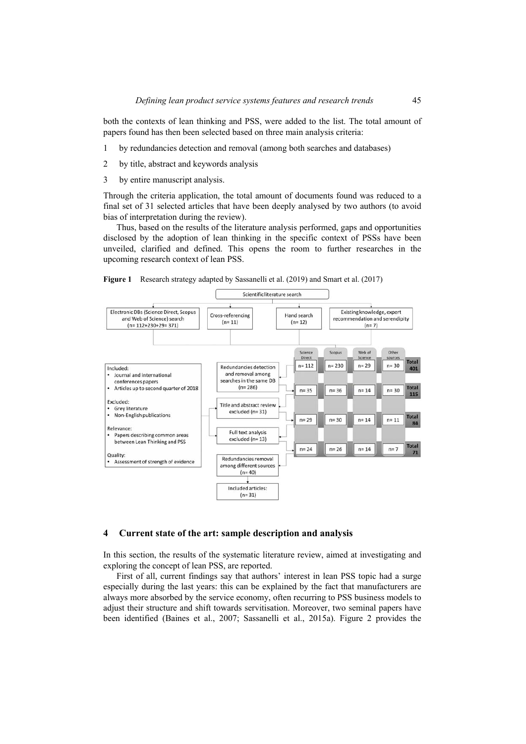both the contexts of lean thinking and PSS, were added to the list. The total amount of papers found has then been selected based on three main analysis criteria:

- 1 by redundancies detection and removal (among both searches and databases)
- 2 by title, abstract and keywords analysis
- 3 by entire manuscript analysis.

Through the criteria application, the total amount of documents found was reduced to a final set of 31 selected articles that have been deeply analysed by two authors (to avoid bias of interpretation during the review).

Thus, based on the results of the literature analysis performed, gaps and opportunities disclosed by the adoption of lean thinking in the specific context of PSSs have been unveiled, clarified and defined. This opens the room to further researches in the upcoming research context of lean PSS.





### **4 Current state of the art: sample description and analysis**

In this section, the results of the systematic literature review, aimed at investigating and exploring the concept of lean PSS, are reported.

First of all, current findings say that authors' interest in lean PSS topic had a surge especially during the last years: this can be explained by the fact that manufacturers are always more absorbed by the service economy, often recurring to PSS business models to adjust their structure and shift towards servitisation. Moreover, two seminal papers have been identified (Baines et al., 2007; Sassanelli et al., 2015a). Figure 2 provides the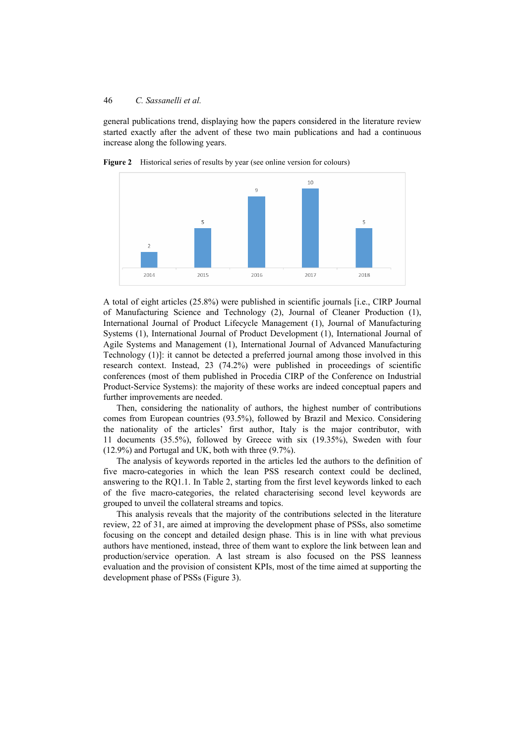general publications trend, displaying how the papers considered in the literature review started exactly after the advent of these two main publications and had a continuous increase along the following years.



Figure 2 Historical series of results by year (see online version for colours)

A total of eight articles (25.8%) were published in scientific journals [i.e., CIRP Journal of Manufacturing Science and Technology (2), Journal of Cleaner Production (1), International Journal of Product Lifecycle Management (1), Journal of Manufacturing Systems (1), International Journal of Product Development (1), International Journal of Agile Systems and Management (1), International Journal of Advanced Manufacturing Technology (1)]: it cannot be detected a preferred journal among those involved in this research context. Instead, 23 (74.2%) were published in proceedings of scientific conferences (most of them published in Procedia CIRP of the Conference on Industrial Product-Service Systems): the majority of these works are indeed conceptual papers and further improvements are needed.

Then, considering the nationality of authors, the highest number of contributions comes from European countries (93.5%), followed by Brazil and Mexico. Considering the nationality of the articles' first author, Italy is the major contributor, with 11 documents (35.5%), followed by Greece with six (19.35%), Sweden with four (12.9%) and Portugal and UK, both with three (9.7%).

The analysis of keywords reported in the articles led the authors to the definition of five macro-categories in which the lean PSS research context could be declined, answering to the RQ1.1. In Table 2, starting from the first level keywords linked to each of the five macro-categories, the related characterising second level keywords are grouped to unveil the collateral streams and topics.

This analysis reveals that the majority of the contributions selected in the literature review, 22 of 31, are aimed at improving the development phase of PSSs, also sometime focusing on the concept and detailed design phase. This is in line with what previous authors have mentioned, instead, three of them want to explore the link between lean and production/service operation. A last stream is also focused on the PSS leanness evaluation and the provision of consistent KPIs, most of the time aimed at supporting the development phase of PSSs (Figure 3).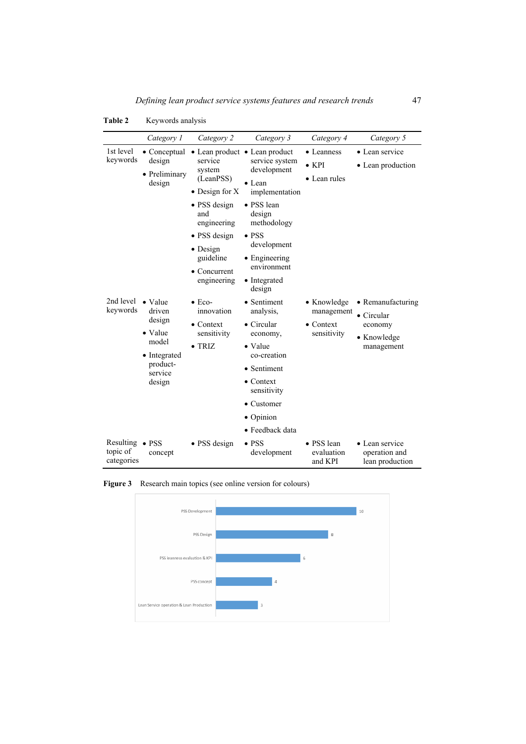|                                                   | Category 1                                                                                       | Category 2                                                                                                                                                                       | Category 3                                                                                                                                                                                                                                  | Category 4                                                            | Category 5                                                                      |
|---------------------------------------------------|--------------------------------------------------------------------------------------------------|----------------------------------------------------------------------------------------------------------------------------------------------------------------------------------|---------------------------------------------------------------------------------------------------------------------------------------------------------------------------------------------------------------------------------------------|-----------------------------------------------------------------------|---------------------------------------------------------------------------------|
| 1st level<br>keywords                             | $\bullet$ Conceptual<br>design<br>• Preliminary<br>design                                        | service<br>system<br>(LeanPSS)<br>• Design for $X$<br>• PSS design<br>and<br>engineering<br>• PSS design<br>$\bullet$ Design<br>guideline<br>$\bullet$ Concurrent<br>engineering | • Lean product • Lean product<br>service system<br>development<br>$\bullet$ Lean<br>implementation<br>• PSS lean<br>design<br>methodology<br>$\bullet$ PSS<br>development<br>$\bullet$ Engineering<br>environment<br>• Integrated<br>design | • Leanness<br>$\bullet$ KPI<br>• Lean rules                           | • Lean service<br>• Lean production                                             |
| 2nd level<br>keywords                             | • Value<br>driven<br>design<br>• Value<br>model<br>• Integrated<br>product-<br>service<br>design | $\bullet$ Eco-<br>innovation<br>$\bullet$ Context<br>sensitivity<br>$\bullet$ TRIZ                                                                                               | • Sentiment<br>analysis,<br>$\bullet$ Circular<br>economy,<br>• Value<br>co-creation<br>• Sentiment<br>$\bullet$ Context<br>sensitivity<br>$\bullet$ Customer<br>$\bullet$ Opinion<br>• Feedback data                                       | $\bullet$ Knowledge<br>management<br>$\bullet$ Context<br>sensitivity | • Remanufacturing<br>$\bullet$ Circular<br>economy<br>• Knowledge<br>management |
| Resulting $\bullet$ PSS<br>topic of<br>categories | concept                                                                                          | $\bullet$ PSS design                                                                                                                                                             | $\bullet$ PSS<br>development                                                                                                                                                                                                                | • PSS lean<br>evaluation<br>and KPI                                   | • Lean service<br>operation and<br>lean production                              |

**Table 2** Keywords analysis



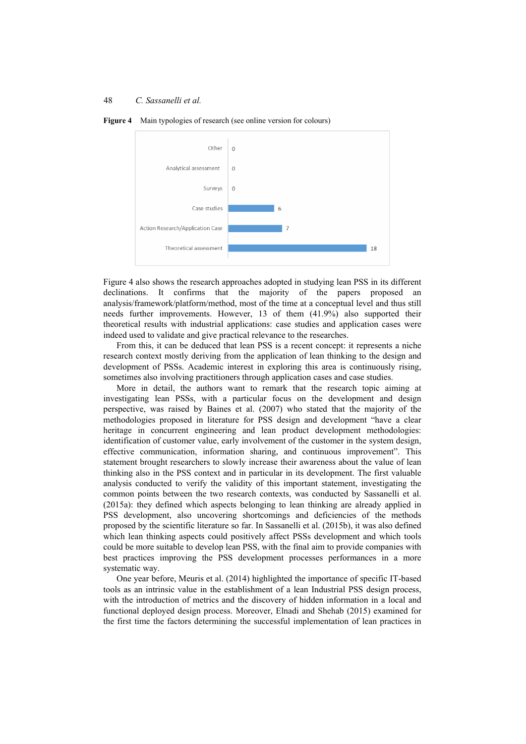



Figure 4 also shows the research approaches adopted in studying lean PSS in its different declinations. It confirms that the majority of the papers proposed an analysis/framework/platform/method, most of the time at a conceptual level and thus still needs further improvements. However, 13 of them (41.9%) also supported their theoretical results with industrial applications: case studies and application cases were indeed used to validate and give practical relevance to the researches.

From this, it can be deduced that lean PSS is a recent concept: it represents a niche research context mostly deriving from the application of lean thinking to the design and development of PSSs. Academic interest in exploring this area is continuously rising, sometimes also involving practitioners through application cases and case studies.

More in detail, the authors want to remark that the research topic aiming at investigating lean PSSs, with a particular focus on the development and design perspective, was raised by Baines et al. (2007) who stated that the majority of the methodologies proposed in literature for PSS design and development "have a clear heritage in concurrent engineering and lean product development methodologies: identification of customer value, early involvement of the customer in the system design, effective communication, information sharing, and continuous improvement". This statement brought researchers to slowly increase their awareness about the value of lean thinking also in the PSS context and in particular in its development. The first valuable analysis conducted to verify the validity of this important statement, investigating the common points between the two research contexts, was conducted by Sassanelli et al. (2015a): they defined which aspects belonging to lean thinking are already applied in PSS development, also uncovering shortcomings and deficiencies of the methods proposed by the scientific literature so far. In Sassanelli et al. (2015b), it was also defined which lean thinking aspects could positively affect PSSs development and which tools could be more suitable to develop lean PSS, with the final aim to provide companies with best practices improving the PSS development processes performances in a more systematic way.

One year before, Meuris et al. (2014) highlighted the importance of specific IT-based tools as an intrinsic value in the establishment of a lean Industrial PSS design process, with the introduction of metrics and the discovery of hidden information in a local and functional deployed design process. Moreover, Elnadi and Shehab (2015) examined for the first time the factors determining the successful implementation of lean practices in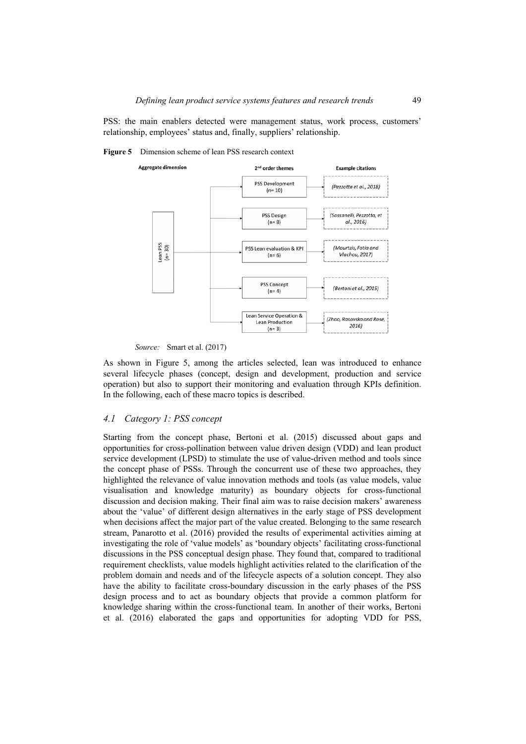PSS: the main enablers detected were management status, work process, customers' relationship, employees' status and, finally, suppliers' relationship.



**Figure 5** Dimension scheme of lean PSS research context

As shown in Figure 5, among the articles selected, lean was introduced to enhance several lifecycle phases (concept, design and development, production and service operation) but also to support their monitoring and evaluation through KPIs definition. In the following, each of these macro topics is described.

## *4.1 Category 1: PSS concept*

Starting from the concept phase, Bertoni et al. (2015) discussed about gaps and opportunities for cross-pollination between value driven design (VDD) and lean product service development (LPSD) to stimulate the use of value-driven method and tools since the concept phase of PSSs. Through the concurrent use of these two approaches, they highlighted the relevance of value innovation methods and tools (as value models, value visualisation and knowledge maturity) as boundary objects for cross-functional discussion and decision making. Their final aim was to raise decision makers' awareness about the 'value' of different design alternatives in the early stage of PSS development when decisions affect the major part of the value created. Belonging to the same research stream, Panarotto et al. (2016) provided the results of experimental activities aiming at investigating the role of 'value models' as 'boundary objects' facilitating cross-functional discussions in the PSS conceptual design phase. They found that, compared to traditional requirement checklists, value models highlight activities related to the clarification of the problem domain and needs and of the lifecycle aspects of a solution concept. They also have the ability to facilitate cross-boundary discussion in the early phases of the PSS design process and to act as boundary objects that provide a common platform for knowledge sharing within the cross-functional team. In another of their works, Bertoni et al. (2016) elaborated the gaps and opportunities for adopting VDD for PSS,

*Source:* Smart et al. (2017)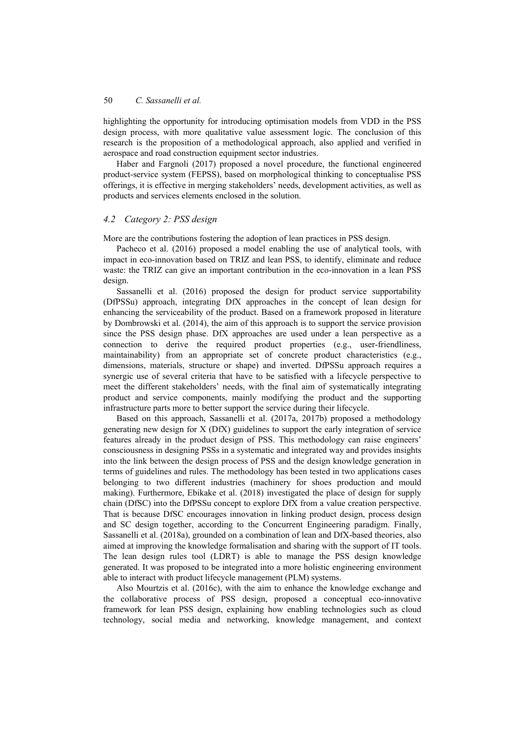highlighting the opportunity for introducing optimisation models from VDD in the PSS design process, with more qualitative value assessment logic. The conclusion of this research is the proposition of a methodological approach, also applied and verified in aerospace and road construction equipment sector industries.

Haber and Fargnoli (2017) proposed a novel procedure, the functional engineered product-service system (FEPSS), based on morphological thinking to conceptualise PSS offerings, it is effective in merging stakeholders' needs, development activities, as well as products and services elements enclosed in the solution.

## *4.2 Category 2: PSS design*

More are the contributions fostering the adoption of lean practices in PSS design.

Pacheco et al. (2016) proposed a model enabling the use of analytical tools, with impact in eco-innovation based on TRIZ and lean PSS, to identify, eliminate and reduce waste: the TRIZ can give an important contribution in the eco-innovation in a lean PSS design.

Sassanelli et al. (2016) proposed the design for product service supportability (DfPSSu) approach, integrating DfX approaches in the concept of lean design for enhancing the serviceability of the product. Based on a framework proposed in literature by Dombrowski et al. (2014), the aim of this approach is to support the service provision since the PSS design phase. DfX approaches are used under a lean perspective as a connection to derive the required product properties (e.g., user-friendliness, maintainability) from an appropriate set of concrete product characteristics (e.g., dimensions, materials, structure or shape) and inverted. DfPSSu approach requires a synergic use of several criteria that have to be satisfied with a lifecycle perspective to meet the different stakeholders' needs, with the final aim of systematically integrating product and service components, mainly modifying the product and the supporting infrastructure parts more to better support the service during their lifecycle.

Based on this approach, Sassanelli et al. (2017a, 2017b) proposed a methodology generating new design for X (DfX) guidelines to support the early integration of service features already in the product design of PSS. This methodology can raise engineers' consciousness in designing PSSs in a systematic and integrated way and provides insights into the link between the design process of PSS and the design knowledge generation in terms of guidelines and rules. The methodology has been tested in two applications cases belonging to two different industries (machinery for shoes production and mould making). Furthermore, Ebikake et al. (2018) investigated the place of design for supply chain (DfSC) into the DfPSSu concept to explore DfX from a value creation perspective. That is because DfSC encourages innovation in linking product design, process design and SC design together, according to the Concurrent Engineering paradigm. Finally, Sassanelli et al. (2018a), grounded on a combination of lean and DfX-based theories, also aimed at improving the knowledge formalisation and sharing with the support of IT tools. The lean design rules tool (LDRT) is able to manage the PSS design knowledge generated. It was proposed to be integrated into a more holistic engineering environment able to interact with product lifecycle management (PLM) systems.

Also Mourtzis et al. (2016c), with the aim to enhance the knowledge exchange and the collaborative process of PSS design, proposed a conceptual eco-innovative framework for lean PSS design, explaining how enabling technologies such as cloud technology, social media and networking, knowledge management, and context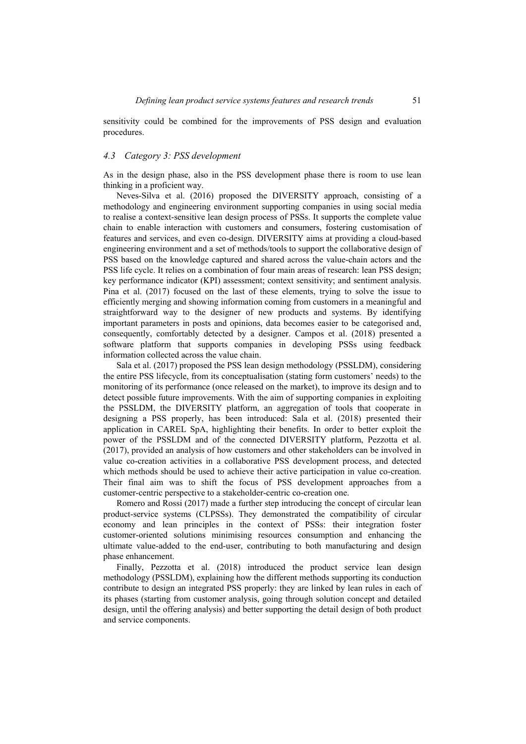sensitivity could be combined for the improvements of PSS design and evaluation procedures.

### *4.3 Category 3: PSS development*

As in the design phase, also in the PSS development phase there is room to use lean thinking in a proficient way.

Neves-Silva et al. (2016) proposed the DIVERSITY approach, consisting of a methodology and engineering environment supporting companies in using social media to realise a context-sensitive lean design process of PSSs. It supports the complete value chain to enable interaction with customers and consumers, fostering customisation of features and services, and even co-design. DIVERSITY aims at providing a cloud-based engineering environment and a set of methods/tools to support the collaborative design of PSS based on the knowledge captured and shared across the value-chain actors and the PSS life cycle. It relies on a combination of four main areas of research: lean PSS design; key performance indicator (KPI) assessment; context sensitivity; and sentiment analysis. Pina et al. (2017) focused on the last of these elements, trying to solve the issue to efficiently merging and showing information coming from customers in a meaningful and straightforward way to the designer of new products and systems. By identifying important parameters in posts and opinions, data becomes easier to be categorised and, consequently, comfortably detected by a designer. Campos et al. (2018) presented a software platform that supports companies in developing PSSs using feedback information collected across the value chain.

Sala et al. (2017) proposed the PSS lean design methodology (PSSLDM), considering the entire PSS lifecycle, from its conceptualisation (stating form customers' needs) to the monitoring of its performance (once released on the market), to improve its design and to detect possible future improvements. With the aim of supporting companies in exploiting the PSSLDM, the DIVERSITY platform, an aggregation of tools that cooperate in designing a PSS properly, has been introduced: Sala et al. (2018) presented their application in CAREL SpA, highlighting their benefits. In order to better exploit the power of the PSSLDM and of the connected DIVERSITY platform, Pezzotta et al. (2017), provided an analysis of how customers and other stakeholders can be involved in value co-creation activities in a collaborative PSS development process, and detected which methods should be used to achieve their active participation in value co-creation. Their final aim was to shift the focus of PSS development approaches from a customer-centric perspective to a stakeholder-centric co-creation one.

Romero and Rossi (2017) made a further step introducing the concept of circular lean product-service systems (CLPSSs). They demonstrated the compatibility of circular economy and lean principles in the context of PSSs: their integration foster customer-oriented solutions minimising resources consumption and enhancing the ultimate value-added to the end-user, contributing to both manufacturing and design phase enhancement.

Finally, Pezzotta et al. (2018) introduced the product service lean design methodology (PSSLDM), explaining how the different methods supporting its conduction contribute to design an integrated PSS properly: they are linked by lean rules in each of its phases (starting from customer analysis, going through solution concept and detailed design, until the offering analysis) and better supporting the detail design of both product and service components.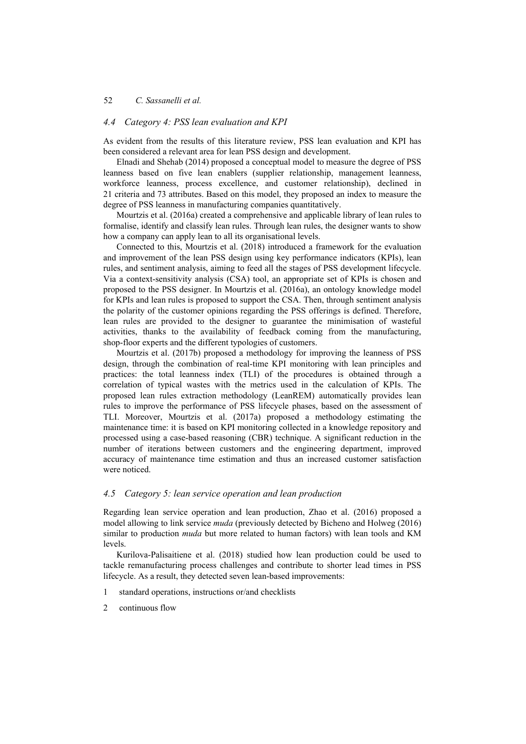# *4.4 Category 4: PSS lean evaluation and KPI*

As evident from the results of this literature review, PSS lean evaluation and KPI has been considered a relevant area for lean PSS design and development.

Elnadi and Shehab (2014) proposed a conceptual model to measure the degree of PSS leanness based on five lean enablers (supplier relationship, management leanness, workforce leanness, process excellence, and customer relationship), declined in 21 criteria and 73 attributes. Based on this model, they proposed an index to measure the degree of PSS leanness in manufacturing companies quantitatively.

Mourtzis et al. (2016a) created a comprehensive and applicable library of lean rules to formalise, identify and classify lean rules. Through lean rules, the designer wants to show how a company can apply lean to all its organisational levels.

Connected to this, Mourtzis et al. (2018) introduced a framework for the evaluation and improvement of the lean PSS design using key performance indicators (KPIs), lean rules, and sentiment analysis, aiming to feed all the stages of PSS development lifecycle. Via a context-sensitivity analysis (CSA) tool, an appropriate set of KPIs is chosen and proposed to the PSS designer. In Mourtzis et al. (2016a), an ontology knowledge model for KPIs and lean rules is proposed to support the CSA. Then, through sentiment analysis the polarity of the customer opinions regarding the PSS offerings is defined. Therefore, lean rules are provided to the designer to guarantee the minimisation of wasteful activities, thanks to the availability of feedback coming from the manufacturing, shop-floor experts and the different typologies of customers.

Mourtzis et al. (2017b) proposed a methodology for improving the leanness of PSS design, through the combination of real-time KPI monitoring with lean principles and practices: the total leanness index (TLI) of the procedures is obtained through a correlation of typical wastes with the metrics used in the calculation of KPIs. The proposed lean rules extraction methodology (LeanREM) automatically provides lean rules to improve the performance of PSS lifecycle phases, based on the assessment of TLI. Moreover, Mourtzis et al. (2017a) proposed a methodology estimating the maintenance time: it is based on KPI monitoring collected in a knowledge repository and processed using a case-based reasoning (CBR) technique. A significant reduction in the number of iterations between customers and the engineering department, improved accuracy of maintenance time estimation and thus an increased customer satisfaction were noticed.

## *4.5 Category 5: lean service operation and lean production*

Regarding lean service operation and lean production, Zhao et al. (2016) proposed a model allowing to link service *muda* (previously detected by Bicheno and Holweg (2016) similar to production *muda* but more related to human factors) with lean tools and KM levels.

Kurilova-Palisaitiene et al. (2018) studied how lean production could be used to tackle remanufacturing process challenges and contribute to shorter lead times in PSS lifecycle. As a result, they detected seven lean-based improvements:

- 1 standard operations, instructions or/and checklists
- 2 continuous flow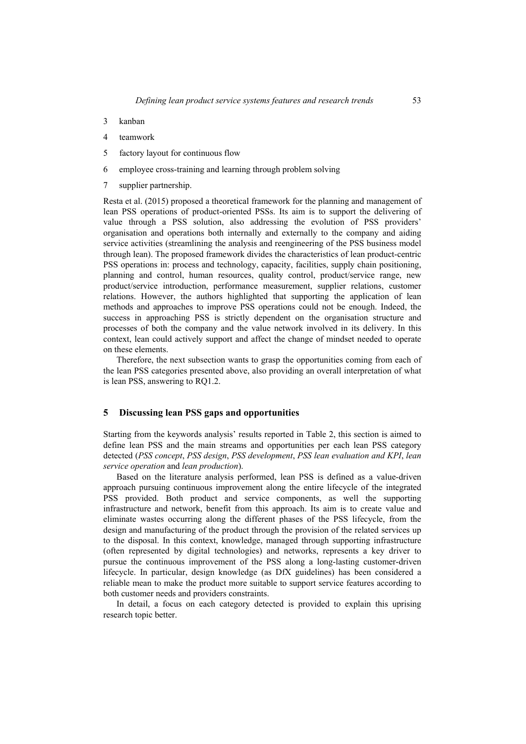- 3 kanban
- 4 teamwork
- 5 factory layout for continuous flow
- 6 employee cross-training and learning through problem solving
- 7 supplier partnership.

Resta et al. (2015) proposed a theoretical framework for the planning and management of lean PSS operations of product-oriented PSSs. Its aim is to support the delivering of value through a PSS solution, also addressing the evolution of PSS providers' organisation and operations both internally and externally to the company and aiding service activities (streamlining the analysis and reengineering of the PSS business model through lean). The proposed framework divides the characteristics of lean product-centric PSS operations in: process and technology, capacity, facilities, supply chain positioning, planning and control, human resources, quality control, product/service range, new product/service introduction, performance measurement, supplier relations, customer relations. However, the authors highlighted that supporting the application of lean methods and approaches to improve PSS operations could not be enough. Indeed, the success in approaching PSS is strictly dependent on the organisation structure and processes of both the company and the value network involved in its delivery. In this context, lean could actively support and affect the change of mindset needed to operate on these elements.

Therefore, the next subsection wants to grasp the opportunities coming from each of the lean PSS categories presented above, also providing an overall interpretation of what is lean PSS, answering to RQ1.2.

## **5 Discussing lean PSS gaps and opportunities**

Starting from the keywords analysis' results reported in Table 2, this section is aimed to define lean PSS and the main streams and opportunities per each lean PSS category detected (*PSS concept*, *PSS design*, *PSS development*, *PSS lean evaluation and KPI*, *lean service operation* and *lean production*).

Based on the literature analysis performed, lean PSS is defined as a value-driven approach pursuing continuous improvement along the entire lifecycle of the integrated PSS provided. Both product and service components, as well the supporting infrastructure and network, benefit from this approach. Its aim is to create value and eliminate wastes occurring along the different phases of the PSS lifecycle, from the design and manufacturing of the product through the provision of the related services up to the disposal. In this context, knowledge, managed through supporting infrastructure (often represented by digital technologies) and networks, represents a key driver to pursue the continuous improvement of the PSS along a long-lasting customer-driven lifecycle. In particular, design knowledge (as DfX guidelines) has been considered a reliable mean to make the product more suitable to support service features according to both customer needs and providers constraints.

In detail, a focus on each category detected is provided to explain this uprising research topic better.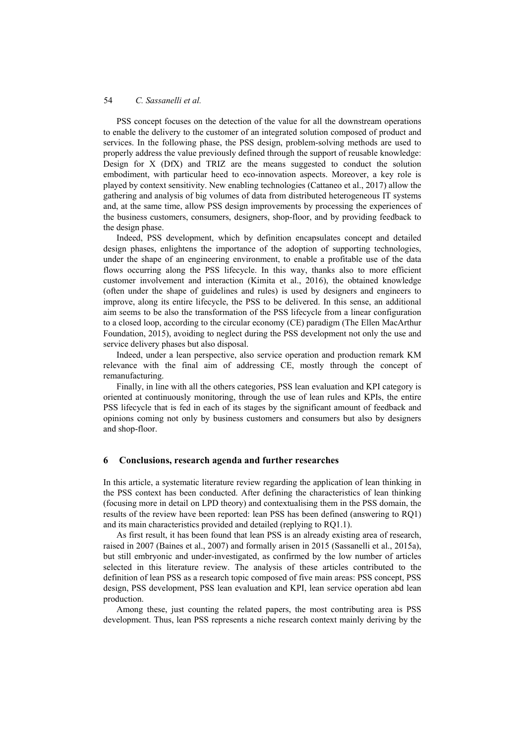PSS concept focuses on the detection of the value for all the downstream operations to enable the delivery to the customer of an integrated solution composed of product and services. In the following phase, the PSS design, problem-solving methods are used to properly address the value previously defined through the support of reusable knowledge: Design for X (DfX) and TRIZ are the means suggested to conduct the solution embodiment, with particular heed to eco-innovation aspects. Moreover, a key role is played by context sensitivity. New enabling technologies (Cattaneo et al., 2017) allow the gathering and analysis of big volumes of data from distributed heterogeneous IT systems and, at the same time, allow PSS design improvements by processing the experiences of the business customers, consumers, designers, shop-floor, and by providing feedback to the design phase.

Indeed, PSS development, which by definition encapsulates concept and detailed design phases, enlightens the importance of the adoption of supporting technologies, under the shape of an engineering environment, to enable a profitable use of the data flows occurring along the PSS lifecycle. In this way, thanks also to more efficient customer involvement and interaction (Kimita et al., 2016), the obtained knowledge (often under the shape of guidelines and rules) is used by designers and engineers to improve, along its entire lifecycle, the PSS to be delivered. In this sense, an additional aim seems to be also the transformation of the PSS lifecycle from a linear configuration to a closed loop, according to the circular economy (CE) paradigm (The Ellen MacArthur Foundation, 2015), avoiding to neglect during the PSS development not only the use and service delivery phases but also disposal.

Indeed, under a lean perspective, also service operation and production remark KM relevance with the final aim of addressing CE, mostly through the concept of remanufacturing.

Finally, in line with all the others categories, PSS lean evaluation and KPI category is oriented at continuously monitoring, through the use of lean rules and KPIs, the entire PSS lifecycle that is fed in each of its stages by the significant amount of feedback and opinions coming not only by business customers and consumers but also by designers and shop-floor.

## **6 Conclusions, research agenda and further researches**

In this article, a systematic literature review regarding the application of lean thinking in the PSS context has been conducted. After defining the characteristics of lean thinking (focusing more in detail on LPD theory) and contextualising them in the PSS domain, the results of the review have been reported: lean PSS has been defined (answering to RQ1) and its main characteristics provided and detailed (replying to RQ1.1).

As first result, it has been found that lean PSS is an already existing area of research, raised in 2007 (Baines et al., 2007) and formally arisen in 2015 (Sassanelli et al., 2015a), but still embryonic and under-investigated, as confirmed by the low number of articles selected in this literature review. The analysis of these articles contributed to the definition of lean PSS as a research topic composed of five main areas: PSS concept, PSS design, PSS development, PSS lean evaluation and KPI, lean service operation abd lean production.

Among these, just counting the related papers, the most contributing area is PSS development. Thus, lean PSS represents a niche research context mainly deriving by the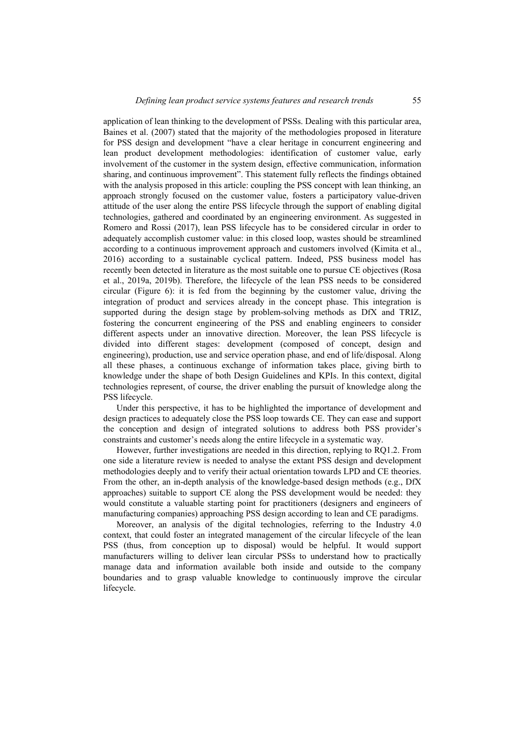application of lean thinking to the development of PSSs. Dealing with this particular area, Baines et al. (2007) stated that the majority of the methodologies proposed in literature for PSS design and development "have a clear heritage in concurrent engineering and lean product development methodologies: identification of customer value, early involvement of the customer in the system design, effective communication, information sharing, and continuous improvement". This statement fully reflects the findings obtained with the analysis proposed in this article: coupling the PSS concept with lean thinking, an approach strongly focused on the customer value, fosters a participatory value-driven attitude of the user along the entire PSS lifecycle through the support of enabling digital technologies, gathered and coordinated by an engineering environment. As suggested in Romero and Rossi (2017), lean PSS lifecycle has to be considered circular in order to adequately accomplish customer value: in this closed loop, wastes should be streamlined according to a continuous improvement approach and customers involved (Kimita et al., 2016) according to a sustainable cyclical pattern. Indeed, PSS business model has recently been detected in literature as the most suitable one to pursue CE objectives (Rosa et al., 2019a, 2019b). Therefore, the lifecycle of the lean PSS needs to be considered circular (Figure 6): it is fed from the beginning by the customer value, driving the integration of product and services already in the concept phase. This integration is supported during the design stage by problem-solving methods as DfX and TRIZ, fostering the concurrent engineering of the PSS and enabling engineers to consider different aspects under an innovative direction. Moreover, the lean PSS lifecycle is divided into different stages: development (composed of concept, design and engineering), production, use and service operation phase, and end of life/disposal. Along all these phases, a continuous exchange of information takes place, giving birth to knowledge under the shape of both Design Guidelines and KPIs. In this context, digital technologies represent, of course, the driver enabling the pursuit of knowledge along the PSS lifecycle.

Under this perspective, it has to be highlighted the importance of development and design practices to adequately close the PSS loop towards CE. They can ease and support the conception and design of integrated solutions to address both PSS provider's constraints and customer's needs along the entire lifecycle in a systematic way.

However, further investigations are needed in this direction, replying to RQ1.2. From one side a literature review is needed to analyse the extant PSS design and development methodologies deeply and to verify their actual orientation towards LPD and CE theories. From the other, an in-depth analysis of the knowledge-based design methods (e.g., DfX approaches) suitable to support CE along the PSS development would be needed: they would constitute a valuable starting point for practitioners (designers and engineers of manufacturing companies) approaching PSS design according to lean and CE paradigms.

Moreover, an analysis of the digital technologies, referring to the Industry 4.0 context, that could foster an integrated management of the circular lifecycle of the lean PSS (thus, from conception up to disposal) would be helpful. It would support manufacturers willing to deliver lean circular PSSs to understand how to practically manage data and information available both inside and outside to the company boundaries and to grasp valuable knowledge to continuously improve the circular lifecycle.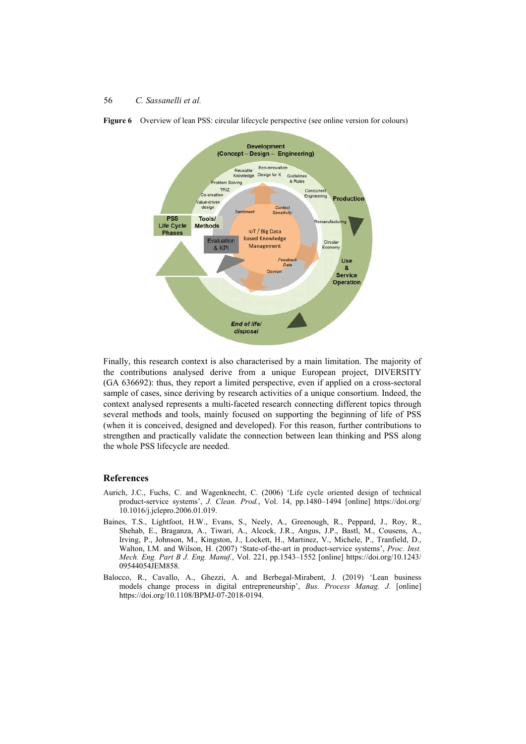

**Figure 6** Overview of lean PSS: circular lifecycle perspective (see online version for colours)

Finally, this research context is also characterised by a main limitation. The majority of the contributions analysed derive from a unique European project, DIVERSITY (GA 636692): thus, they report a limited perspective, even if applied on a cross-sectoral sample of cases, since deriving by research activities of a unique consortium. Indeed, the context analysed represents a multi-faceted research connecting different topics through several methods and tools, mainly focused on supporting the beginning of life of PSS (when it is conceived, designed and developed). For this reason, further contributions to strengthen and practically validate the connection between lean thinking and PSS along the whole PSS lifecycle are needed.

### **References**

- Aurich, J.C., Fuchs, C. and Wagenknecht, C. (2006) 'Life cycle oriented design of technical product-service systems', *J. Clean. Prod.*, Vol. 14, pp.1480–1494 [online] https://doi.org/ 10.1016/j.jclepro.2006.01.019.
- Baines, T.S., Lightfoot, H.W., Evans, S., Neely, A., Greenough, R., Peppard, J., Roy, R., Shehab, E., Braganza, A., Tiwari, A., Alcock, J.R., Angus, J.P., Bastl, M., Cousens, A., Irving, P., Johnson, M., Kingston, J., Lockett, H., Martinez, V., Michele, P., Tranfield, D., Walton, I.M. and Wilson, H. (2007) 'State-of-the-art in product-service systems', *Proc. Inst. Mech. Eng. Part B J. Eng. Manuf.*, Vol. 221, pp.1543–1552 [online] https://doi.org/10.1243/ 09544054JEM858.
- Balocco, R., Cavallo, A., Ghezzi, A. and Berbegal-Mirabent, J. (2019) 'Lean business models change process in digital entrepreneurship', *Bus. Process Manag. J.* [online] https://doi.org/10.1108/BPMJ-07-2018-0194.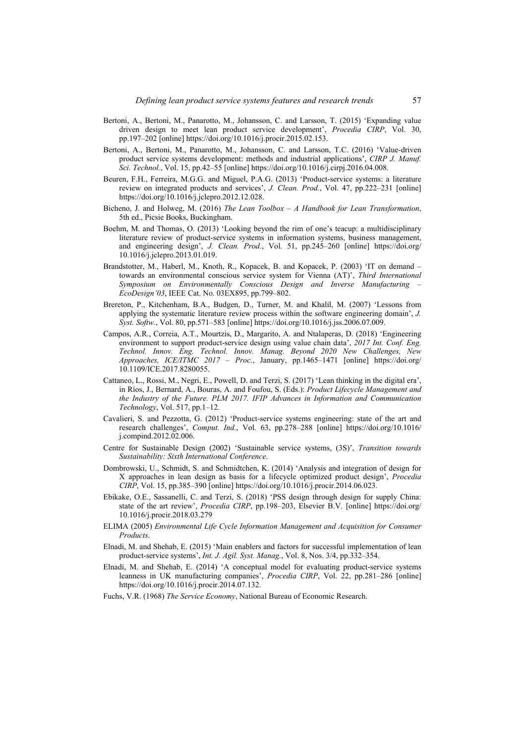- Bertoni, A., Bertoni, M., Panarotto, M., Johansson, C. and Larsson, T. (2015) 'Expanding value driven design to meet lean product service development', *Procedia CIRP*, Vol. 30, pp.197–202 [online] https://doi.org/10.1016/j.procir.2015.02.153.
- Bertoni, A., Bertoni, M., Panarotto, M., Johansson, C. and Larsson, T.C. (2016) 'Value-driven product service systems development: methods and industrial applications', *CIRP J. Manuf. Sci. Technol.*, Vol. 15, pp.42–55 [online] https://doi.org/10.1016/j.cirpj.2016.04.008.
- Beuren, F.H., Ferreira, M.G.G. and Miguel, P.A.G. (2013) 'Product-service systems: a literature review on integrated products and services', *J. Clean. Prod.*, Vol. 47, pp.222–231 [online] https://doi.org/10.1016/j.jclepro.2012.12.028.
- Bicheno, J. and Holweg, M. (2016) *The Lean Toolbox A Handbook for Lean Transformation*, 5th ed., Picsie Books, Buckingham.
- Boehm, M. and Thomas, O. (2013) 'Looking beyond the rim of one's teacup: a multidisciplinary literature review of product-service systems in information systems, business management, and engineering design', *J. Clean. Prod.*, Vol. 51, pp.245–260 [online] https://doi.org/ 10.1016/j.jclepro.2013.01.019.
- Brandstotter, M., Haberl, M., Knoth, R., Kopacek, B. and Kopacek, P. (2003) 'IT on demand towards an environmental conscious service system for Vienna (AT)', *Third International Symposium on Environmentally Conscious Design and Inverse Manufacturing – EcoDesign'03*, IEEE Cat. No. 03EX895, pp.799–802.
- Brereton, P., Kitchenham, B.A., Budgen, D., Turner, M. and Khalil, M. (2007) 'Lessons from applying the systematic literature review process within the software engineering domain', *J. Syst. Softw.*, Vol. 80, pp.571–583 [online] https://doi.org/10.1016/j.jss.2006.07.009.
- Campos, A.R., Correia, A.T., Mourtzis, D., Margarito, A. and Ntalaperas, D. (2018) 'Engineering environment to support product-service design using value chain data', *2017 Int. Conf. Eng. Technol. Innov. Eng. Technol. Innov. Manag. Beyond 2020 New Challenges, New Approaches, ICE/ITMC 2017 – Proc.*, January, pp.1465–1471 [online] https://doi.org/ 10.1109/ICE.2017.8280055.
- Cattaneo, L., Rossi, M., Negri, E., Powell, D. and Terzi, S. (2017) 'Lean thinking in the digital era', in Ríos, J., Bernard, A., Bouras, A. and Foufou, S. (Eds.): *Product Lifecycle Management and the Industry of the Future. PLM 2017. IFIP Advances in Information and Communication Technology*, Vol. 517, pp.1–12.
- Cavalieri, S. and Pezzotta, G. (2012) 'Product-service systems engineering: state of the art and research challenges', *Comput. Ind.*, Vol. 63, pp.278–288 [online] https://doi.org/10.1016/ j.compind.2012.02.006.
- Centre for Sustainable Design (2002) 'Sustainable service systems, (3S)', *Transition towards Sustainability: Sixth International Conference*.
- Dombrowski, U., Schmidt, S. and Schmidtchen, K. (2014) 'Analysis and integration of design for X approaches in lean design as basis for a lifecycle optimized product design', *Procedia CIRP*, Vol. 15, pp.385–390 [online] https://doi.org/10.1016/j.procir.2014.06.023.
- Ebikake, O.E., Sassanelli, C. and Terzi, S. (2018) 'PSS design through design for supply China: state of the art review', *Procedia CIRP*, pp.198–203, Elsevier B.V. [online] https://doi.org/ 10.1016/j.procir.2018.03.279
- ELIMA (2005) *Environmental Life Cycle Information Management and Acquisition for Consumer Products*.
- Elnadi, M. and Shehab, E. (2015) 'Main enablers and factors for successful implementation of lean product-service systems', *Int. J. Agil. Syst. Manag.*, Vol. 8, Nos. 3/4, pp.332–354.
- Elnadi, M. and Shehab, E. (2014) 'A conceptual model for evaluating product-service systems leanness in UK manufacturing companies', *Procedia CIRP*, Vol. 22, pp.281–286 [online] https://doi.org/10.1016/j.procir.2014.07.132.
- Fuchs, V.R. (1968) *The Service Economy*, National Bureau of Economic Research.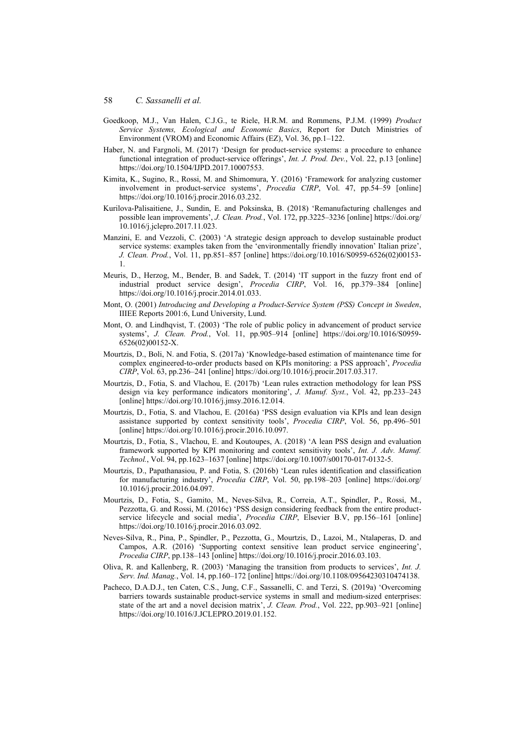- Goedkoop, M.J., Van Halen, C.J.G., te Riele, H.R.M. and Rommens, P.J.M. (1999) *Product Service Systems, Ecological and Economic Basics*, Report for Dutch Ministries of Environment (VROM) and Economic Affairs (EZ), Vol. 36, pp.1–122.
- Haber, N. and Fargnoli, M. (2017) 'Design for product-service systems: a procedure to enhance functional integration of product-service offerings', *Int. J. Prod. Dev.*, Vol. 22, p.13 [online] https://doi.org/10.1504/IJPD.2017.10007553.
- Kimita, K., Sugino, R., Rossi, M. and Shimomura, Y. (2016) 'Framework for analyzing customer involvement in product-service systems', *Procedia CIRP*, Vol. 47, pp.54–59 [online] https://doi.org/10.1016/j.procir.2016.03.232.
- Kurilova-Palisaitiene, J., Sundin, E. and Poksinska, B. (2018) 'Remanufacturing challenges and possible lean improvements', *J. Clean. Prod.*, Vol. 172, pp.3225–3236 [online] https://doi.org/ 10.1016/j.jclepro.2017.11.023.
- Manzini, E. and Vezzoli, C. (2003) 'A strategic design approach to develop sustainable product service systems: examples taken from the 'environmentally friendly innovation' Italian prize', *J. Clean. Prod.*, Vol. 11, pp.851–857 [online] https://doi.org/10.1016/S0959-6526(02)00153- 1.
- Meuris, D., Herzog, M., Bender, B. and Sadek, T. (2014) 'IT support in the fuzzy front end of industrial product service design', *Procedia CIRP*, Vol. 16, pp.379–384 [online] https://doi.org/10.1016/j.procir.2014.01.033.
- Mont, O. (2001) *Introducing and Developing a Product-Service System (PSS) Concept in Sweden*, IIIEE Reports 2001:6, Lund University, Lund.
- Mont, O. and Lindhqvist, T. (2003) 'The role of public policy in advancement of product service systems', *J. Clean. Prod.*, Vol. 11, pp.905–914 [online] https://doi.org/10.1016/S0959- 6526(02)00152-X.
- Mourtzis, D., Boli, N. and Fotia, S. (2017a) 'Knowledge-based estimation of maintenance time for complex engineered-to-order products based on KPIs monitoring: a PSS approach', *Procedia CIRP*, Vol. 63, pp.236–241 [online] https://doi.org/10.1016/j.procir.2017.03.317.
- Mourtzis, D., Fotia, S. and Vlachou, E. (2017b) 'Lean rules extraction methodology for lean PSS design via key performance indicators monitoring', *J. Manuf. Syst.*, Vol. 42, pp.233–243 [online] https://doi.org/10.1016/j.jmsy.2016.12.014.
- Mourtzis, D., Fotia, S. and Vlachou, E. (2016a) 'PSS design evaluation via KPIs and lean design assistance supported by context sensitivity tools', *Procedia CIRP*, Vol. 56, pp.496–501 [online] https://doi.org/10.1016/j.procir.2016.10.097.
- Mourtzis, D., Fotia, S., Vlachou, E. and Koutoupes, A. (2018) 'A lean PSS design and evaluation framework supported by KPI monitoring and context sensitivity tools', *Int. J. Adv. Manuf. Technol.*, Vol. 94, pp.1623–1637 [online] https://doi.org/10.1007/s00170-017-0132-5.
- Mourtzis, D., Papathanasiou, P. and Fotia, S. (2016b) 'Lean rules identification and classification for manufacturing industry', *Procedia CIRP*, Vol. 50, pp.198–203 [online] https://doi.org/ 10.1016/j.procir.2016.04.097.
- Mourtzis, D., Fotia, S., Gamito, M., Neves-Silva, R., Correia, A.T., Spindler, P., Rossi, M., Pezzotta, G. and Rossi, M. (2016c) 'PSS design considering feedback from the entire productservice lifecycle and social media', *Procedia CIRP*, Elsevier B.V, pp.156–161 [online] https://doi.org/10.1016/j.procir.2016.03.092.
- Neves-Silva, R., Pina, P., Spindler, P., Pezzotta, G., Mourtzis, D., Lazoi, M., Ntalaperas, D. and Campos, A.R. (2016) 'Supporting context sensitive lean product service engineering', *Procedia CIRP*, pp.138–143 [online] https://doi.org/10.1016/j.procir.2016.03.103.
- Oliva, R. and Kallenberg, R. (2003) 'Managing the transition from products to services', *Int. J. Serv. Ind. Manag.*, Vol. 14, pp.160–172 [online] https://doi.org/10.1108/09564230310474138.
- Pacheco, D.A.D.J., ten Caten, C.S., Jung, C.F., Sassanelli, C. and Terzi, S. (2019a) 'Overcoming barriers towards sustainable product-service systems in small and medium-sized enterprises: state of the art and a novel decision matrix', *J. Clean. Prod.*, Vol. 222, pp.903–921 [online] https://doi.org/10.1016/J.JCLEPRO.2019.01.152.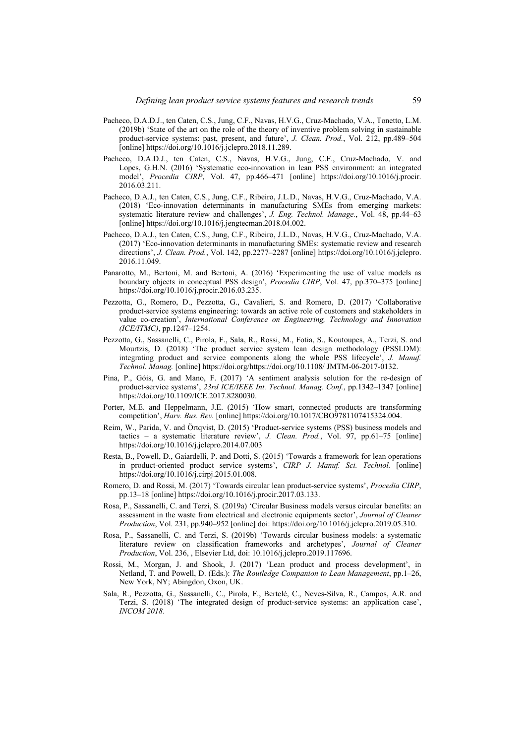- Pacheco, D.A.D.J., ten Caten, C.S., Jung, C.F., Navas, H.V.G., Cruz-Machado, V.A., Tonetto, L.M. (2019b) 'State of the art on the role of the theory of inventive problem solving in sustainable product-service systems: past, present, and future', *J. Clean. Prod.*, Vol. 212, pp.489–504 [online] https://doi.org/10.1016/j.jclepro.2018.11.289.
- Pacheco, D.A.D.J., ten Caten, C.S., Navas, H.V.G., Jung, C.F., Cruz-Machado, V. and Lopes, G.H.N. (2016) 'Systematic eco-innovation in lean PSS environment: an integrated model', *Procedia CIRP*, Vol. 47, pp.466–471 [online] https://doi.org/10.1016/j.procir. 2016.03.211.
- Pacheco, D.A.J., ten Caten, C.S., Jung, C.F., Ribeiro, J.L.D., Navas, H.V.G., Cruz-Machado, V.A. (2018) 'Eco-innovation determinants in manufacturing SMEs from emerging markets: systematic literature review and challenges', *J. Eng. Technol. Manage.*, Vol. 48, pp.44–63 [online] https://doi.org/10.1016/j.jengtecman.2018.04.002.
- Pacheco, D.A.J., ten Caten, C.S., Jung, C.F., Ribeiro, J.L.D., Navas, H.V.G., Cruz-Machado, V.A. (2017) 'Eco-innovation determinants in manufacturing SMEs: systematic review and research directions', *J. Clean. Prod.*, Vol. 142, pp.2277–2287 [online] https://doi.org/10.1016/j.jclepro. 2016.11.049.
- Panarotto, M., Bertoni, M. and Bertoni, A. (2016) 'Experimenting the use of value models as boundary objects in conceptual PSS design', *Procedia CIRP*, Vol. 47, pp.370–375 [online] https://doi.org/10.1016/j.procir.2016.03.235.
- Pezzotta, G., Romero, D., Pezzotta, G., Cavalieri, S. and Romero, D. (2017) 'Collaborative product-service systems engineering: towards an active role of customers and stakeholders in value co-creation', *International Conference on Engineering, Technology and Innovation (ICE/ITMC)*, pp.1247–1254.
- Pezzotta, G., Sassanelli, C., Pirola, F., Sala, R., Rossi, M., Fotia, S., Koutoupes, A., Terzi, S. and Mourtzis, D. (2018) 'The product service system lean design methodology (PSSLDM): integrating product and service components along the whole PSS lifecycle', *J. Manuf. Technol. Manag.* [online] https://doi.org/https://doi.org/10.1108/ JMTM-06-2017-0132.
- Pina, P., Góis, G. and Mano, F. (2017) 'A sentiment analysis solution for the re-design of product-service systems', *23rd ICE/IEEE Int. Technol. Manag. Conf.*, pp.1342–1347 [online] https://doi.org/10.1109/ICE.2017.8280030.
- Porter, M.E. and Heppelmann, J.E. (2015) 'How smart, connected products are transforming competition', *Harv. Bus. Rev.* [online] https://doi.org/10.1017/CBO9781107415324.004.
- Reim, W., Parida, V. and Örtqvist, D. (2015) 'Product-service systems (PSS) business models and tactics – a systematic literature review', *J. Clean. Prod.*, Vol. 97, pp.61–75 [online] https://doi.org/10.1016/j.jclepro.2014.07.003
- Resta, B., Powell, D., Gaiardelli, P. and Dotti, S. (2015) 'Towards a framework for lean operations in product-oriented product service systems', *CIRP J. Manuf. Sci. Technol.* [online] https://doi.org/10.1016/j.cirpj.2015.01.008.
- Romero, D. and Rossi, M. (2017) 'Towards circular lean product-service systems', *Procedia CIRP*, pp.13–18 [online] https://doi.org/10.1016/j.procir.2017.03.133.
- Rosa, P., Sassanelli, C. and Terzi, S. (2019a) 'Circular Business models versus circular benefits: an assessment in the waste from electrical and electronic equipments sector', *Journal of Cleaner Production*, Vol. 231, pp.940–952 [online] doi: https://doi.org/10.1016/j.jclepro.2019.05.310.
- Rosa, P., Sassanelli, C. and Terzi, S. (2019b) 'Towards circular business models: a systematic literature review on classification frameworks and archetypes', *Journal of Cleaner Production*, Vol. 236, , Elsevier Ltd, doi: 10.1016/j.jclepro.2019.117696.
- Rossi, M., Morgan, J. and Shook, J. (2017) 'Lean product and process development', in Netland, T. and Powell, D. (Eds.): *The Routledge Companion to Lean Management*, pp.1–26, New York, NY; Abingdon, Oxon, UK.
- Sala, R., Pezzotta, G., Sassanelli, C., Pirola, F., Bertelè, C., Neves-Silva, R., Campos, A.R. and Terzi, S. (2018) 'The integrated design of product-service systems: an application case', *INCOM 2018*.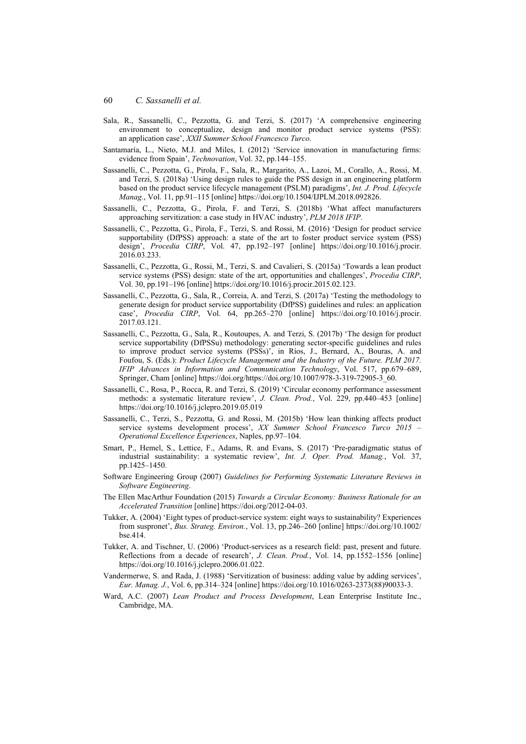- Sala, R., Sassanelli, C., Pezzotta, G. and Terzi, S. (2017) 'A comprehensive engineering environment to conceptualize, design and monitor product service systems (PSS): an application case', *XXII Summer School Francesco Turco*.
- Santamaría, L., Nieto, M.J. and Miles, I. (2012) 'Service innovation in manufacturing firms: evidence from Spain', *Technovation*, Vol. 32, pp.144–155.
- Sassanelli, C., Pezzotta, G., Pirola, F., Sala, R., Margarito, A., Lazoi, M., Corallo, A., Rossi, M. and Terzi, S. (2018a) 'Using design rules to guide the PSS design in an engineering platform based on the product service lifecycle management (PSLM) paradigms', *Int. J. Prod. Lifecycle Manag.*, Vol. 11, pp.91–115 [online] https://doi.org/10.1504/IJPLM.2018.092826.
- Sassanelli, C., Pezzotta, G., Pirola, F. and Terzi, S. (2018b) 'What affect manufacturers approaching servitization: a case study in HVAC industry', *PLM 2018 IFIP*.
- Sassanelli, C., Pezzotta, G., Pirola, F., Terzi, S. and Rossi, M. (2016) 'Design for product service supportability (DfPSS) approach: a state of the art to foster product service system (PSS) design', *Procedia CIRP*, Vol. 47, pp.192–197 [online] https://doi.org/10.1016/j.procir. 2016.03.233.
- Sassanelli, C., Pezzotta, G., Rossi, M., Terzi, S. and Cavalieri, S. (2015a) 'Towards a lean product service systems (PSS) design: state of the art, opportunities and challenges', *Procedia CIRP*, Vol. 30, pp.191–196 [online] https://doi.org/10.1016/j.procir.2015.02.123.
- Sassanelli, C., Pezzotta, G., Sala, R., Correia, A. and Terzi, S. (2017a) 'Testing the methodology to generate design for product service supportability (DfPSS) guidelines and rules: an application case', *Procedia CIRP*, Vol. 64, pp.265–270 [online] https://doi.org/10.1016/j.procir. 2017.03.121.
- Sassanelli, C., Pezzotta, G., Sala, R., Koutoupes, A. and Terzi, S. (2017b) 'The design for product service supportability (DfPSSu) methodology: generating sector-specific guidelines and rules to improve product service systems (PSSs)', in Ríos, J., Bernard, A., Bouras, A. and Foufou, S. (Eds.): *Product Lifecycle Management and the Industry of the Future. PLM 2017. IFIP Advances in Information and Communication Technology*, Vol. 517, pp.679–689, Springer, Cham [online] https://doi.org/https://doi.org/10.1007/978-3-319-72905-3\_60.
- Sassanelli, C., Rosa, P., Rocca, R. and Terzi, S. (2019) 'Circular economy performance assessment methods: a systematic literature review', *J. Clean. Prod.*, Vol. 229, pp.440–453 [online] https://doi.org/10.1016/j.jclepro.2019.05.019
- Sassanelli, C., Terzi, S., Pezzotta, G. and Rossi, M. (2015b) 'How lean thinking affects product service systems development process', *XX Summer School Francesco Turco 2015 – Operational Excellence Experiences*, Naples, pp.97–104.
- Smart, P., Hemel, S., Lettice, F., Adams, R. and Evans, S. (2017) 'Pre-paradigmatic status of industrial sustainability: a systematic review', *Int. J. Oper. Prod. Manag.*, Vol. 37, pp.1425–1450.
- Software Engineering Group (2007) *Guidelines for Performing Systematic Literature Reviews in Software Engineering*.
- The Ellen MacArthur Foundation (2015) *Towards a Circular Economy: Business Rationale for an Accelerated Transition* [online] https://doi.org/2012-04-03.
- Tukker, A. (2004) 'Eight types of product-service system: eight ways to sustainability? Experiences from suspronet', *Bus. Strateg. Environ.*, Vol. 13, pp.246–260 [online] https://doi.org/10.1002/ bse.414.
- Tukker, A. and Tischner, U. (2006) 'Product-services as a research field: past, present and future. Reflections from a decade of research', *J. Clean. Prod.*, Vol. 14, pp.1552–1556 [online] https://doi.org/10.1016/j.jclepro.2006.01.022.
- Vandermerwe, S. and Rada, J. (1988) 'Servitization of business: adding value by adding services', *Eur. Manag. J.*, Vol. 6, pp.314–324 [online] https://doi.org/10.1016/0263-2373(88)90033-3.
- Ward, A.C. (2007) *Lean Product and Process Development*, Lean Enterprise Institute Inc., Cambridge, MA.